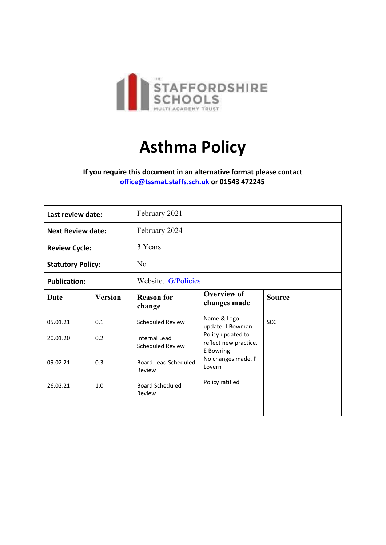

# **Asthma Policy**

**If you require this document in an alternative format please contact [office@tssmat.staffs.sch.uk](mailto:office@tssmat.staffs.sch.uk) or 01543 472245**

| Last review date:        |                | February 2021                            |                                                         |               |
|--------------------------|----------------|------------------------------------------|---------------------------------------------------------|---------------|
| <b>Next Review date:</b> |                | February 2024                            |                                                         |               |
| <b>Review Cycle:</b>     |                | 3 Years                                  |                                                         |               |
| <b>Statutory Policy:</b> |                | N <sub>0</sub>                           |                                                         |               |
| <b>Publication:</b>      |                | Website. G/Policies                      |                                                         |               |
| Date                     | <b>Version</b> | <b>Reason for</b><br>change              | <b>Overview of</b><br>changes made                      | <b>Source</b> |
| 05.01.21                 | 0.1            | <b>Scheduled Review</b>                  | Name & Logo<br>update. J Bowman                         | <b>SCC</b>    |
| 20.01.20                 | 0.2            | Internal Lead<br><b>Scheduled Review</b> | Policy updated to<br>reflect new practice.<br>E Bowring |               |
| 09.02.21                 | 0.3            | Board Lead Scheduled<br>Review           | No changes made. P<br>Lovern                            |               |
| 26.02.21                 | 1.0            | <b>Board Scheduled</b><br>Review         | Policy ratified                                         |               |
|                          |                |                                          |                                                         |               |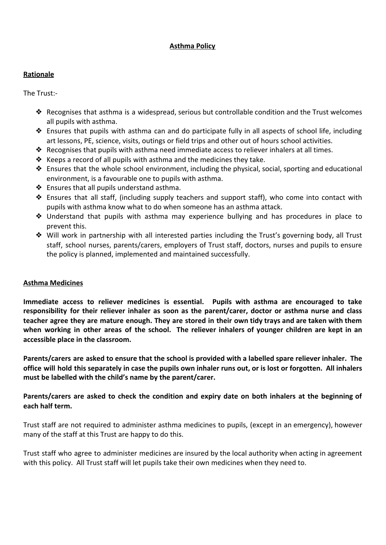# **Asthma Policy**

# **Rationale**

The Trust:-

- ◆ Recognises that asthma is a widespread, serious but controllable condition and the Trust welcomes all pupils with asthma.
- ❖ Ensures that pupils with asthma can and do participate fully in all aspects of school life, including art lessons, PE, science, visits, outings or field trips and other out of hours school activities.
- ❖ Recognises that pupils with asthma need immediate access to reliever inhalers at all times.
- ◆ Keeps a record of all pupils with asthma and the medicines they take.
- $\triangleq$  Ensures that the whole school environment, including the physical, social, sporting and educational environment, is a favourable one to pupils with asthma.
- ❖ Ensures that all pupils understand asthma.
- ❖ Ensures that all staff, (including supply teachers and support staff), who come into contact with pupils with asthma know what to do when someone has an asthma attack.
- ❖ Understand that pupils with asthma may experience bullying and has procedures in place to prevent this.
- ❖ Will work in partnership with all interested parties including the Trust's governing body, all Trust staff, school nurses, parents/carers, employers of Trust staff, doctors, nurses and pupils to ensure the policy is planned, implemented and maintained successfully.

# **Asthma Medicines**

**Immediate access to reliever medicines is essential. Pupils with asthma are encouraged to take responsibility for their reliever inhaler as soon as the parent/carer, doctor or asthma nurse and class** teacher agree they are mature enough. They are stored in their own tidy trays and are taken with them when working in other areas of the school. The reliever inhalers of younger children are kept in an **accessible place in the classroom.**

Parents/carers are asked to ensure that the school is provided with a labelled spare reliever inhaler. The office will hold this separately in case the pupils own inhaler runs out, or is lost or forgotten. All inhalers **must be labelled with the child's name by the parent/carer.**

**Parents/carers are asked to check the condition and expiry date on both inhalers at the beginning of each half term.**

Trust staff are not required to administer asthma medicines to pupils, (except in an emergency), however many of the staff at this Trust are happy to do this.

Trust staff who agree to administer medicines are insured by the local authority when acting in agreement with this policy. All Trust staff will let pupils take their own medicines when they need to.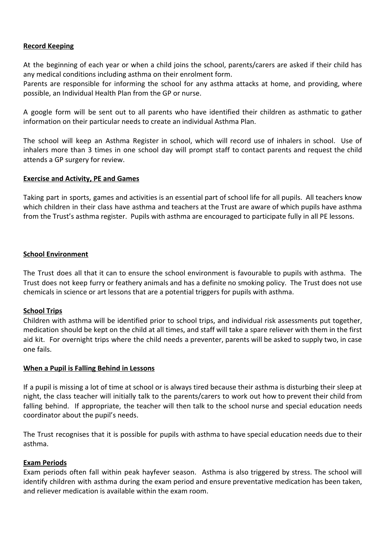#### **Record Keeping**

At the beginning of each year or when a child joins the school, parents/carers are asked if their child has any medical conditions including asthma on their enrolment form.

Parents are responsible for informing the school for any asthma attacks at home, and providing, where possible, an Individual Health Plan from the GP or nurse.

A google form will be sent out to all parents who have identified their children as asthmatic to gather information on their particular needs to create an individual Asthma Plan.

The school will keep an Asthma Register in school, which will record use of inhalers in school. Use of inhalers more than 3 times in one school day will prompt staff to contact parents and request the child attends a GP surgery for review.

# **Exercise and Activity, PE and Games**

Taking part in sports, games and activities is an essential part of school life for all pupils. All teachers know which children in their class have asthma and teachers at the Trust are aware of which pupils have asthma from the Trust's asthma register. Pupils with asthma are encouraged to participate fully in all PE lessons.

#### **School Environment**

The Trust does all that it can to ensure the school environment is favourable to pupils with asthma. The Trust does not keep furry or feathery animals and has a definite no smoking policy. The Trust does not use chemicals in science or art lessons that are a potential triggers for pupils with asthma.

#### **School Trips**

Children with asthma will be identified prior to school trips, and individual risk assessments put together, medication should be kept on the child at all times, and staff will take a spare reliever with them in the first aid kit. For overnight trips where the child needs a preventer, parents will be asked to supply two, in case one fails.

#### **When a Pupil is Falling Behind in Lessons**

If a pupil is missing a lot of time at school or is always tired because their asthma is disturbing their sleep at night, the class teacher will initially talk to the parents/carers to work out how to prevent their child from falling behind. If appropriate, the teacher will then talk to the school nurse and special education needs coordinator about the pupil's needs.

The Trust recognises that it is possible for pupils with asthma to have special education needs due to their asthma.

#### **Exam Periods**

Exam periods often fall within peak hayfever season. Asthma is also triggered by stress. The school will identify children with asthma during the exam period and ensure preventative medication has been taken, and reliever medication is available within the exam room.